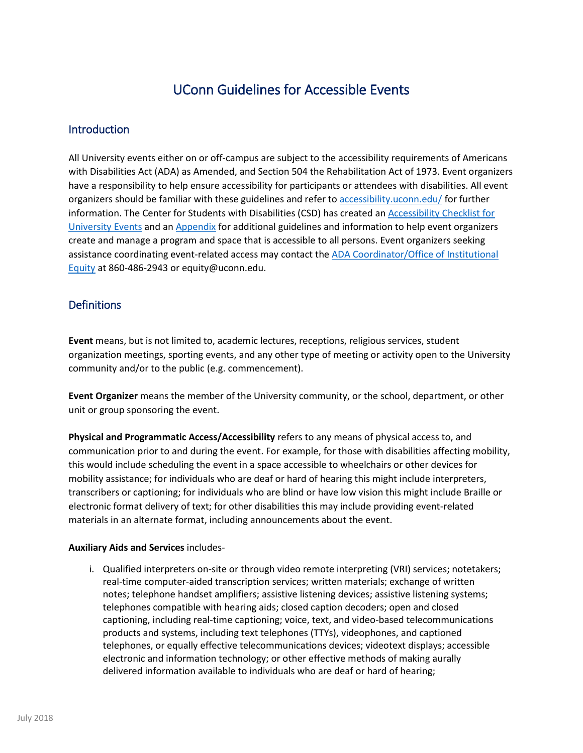# UConn Guidelines for Accessible Events

# **Introduction**

All University events either on or off-campus are subject to the accessibility requirements of Americans with Disabilities Act (ADA) as Amended, and Section 504 the Rehabilitation Act of 1973. Event organizers have a responsibility to help ensure accessibility for participants or attendees with disabilities. All event organizers should be familiar with these guidelines and refer t[o accessibility.uconn.edu/](https://accessibility.uconn.edu/) for further information. The Center for Students with Disabilities (CSD) has created an Accessibility Checklist for [University Events](https://csd.uconn.edu/wp-content/uploads/sites/607/2015/01/ACCESSIBILITY-CHECKLIST-FOR-UNIVERSITY-EVENTS-Fall-2014.pdf) and a[n Appendix](https://csd.uconn.edu/wp-content/uploads/sites/607/2015/01/ACCESSIBILITY-CHECKLIST-FOR-UNIVERSITY-EVENTS-Fall-2014-Appendix.pdf) for additional guidelines and information to help event organizers create and manage a program and space that is accessible to all persons. Event organizers seeking assistance coordinating event-related access may contact th[e ADA Coordinator/Office of Institutional](https://equity.uconn.edu/)  [Equity](https://equity.uconn.edu/) at 860-486-2943 or equity@uconn.edu.

# **Definitions**

**Event** means, but is not limited to, academic lectures, receptions, religious services, student organization meetings, sporting events, and any other type of meeting or activity open to the University community and/or to the public (e.g. commencement).

**Event Organizer** means the member of the University community, or the school, department, or other unit or group sponsoring the event.

**Physical and Programmatic Access/Accessibility** refers to any means of physical access to, and communication prior to and during the event. For example, for those with disabilities affecting mobility, this would include scheduling the event in a space accessible to wheelchairs or other devices for mobility assistance; for individuals who are deaf or hard of hearing this might include interpreters, transcribers or captioning; for individuals who are blind or have low vision this might include Braille or electronic format delivery of text; for other disabilities this may include providing event-related materials in an alternate format, including announcements about the event.

# **Auxiliary Aids and Services** includes-

i. Qualified interpreters on-site or through video remote interpreting (VRI) services; notetakers; real-time computer-aided transcription services; written materials; exchange of written notes; telephone handset amplifiers; assistive listening devices; assistive listening systems; telephones compatible with hearing aids; closed caption decoders; open and closed captioning, including real-time captioning; voice, text, and video-based telecommunications products and systems, including text telephones (TTYs), videophones, and captioned telephones, or equally effective telecommunications devices; videotext displays; accessible electronic and information technology; or other effective methods of making aurally delivered information available to individuals who are deaf or hard of hearing;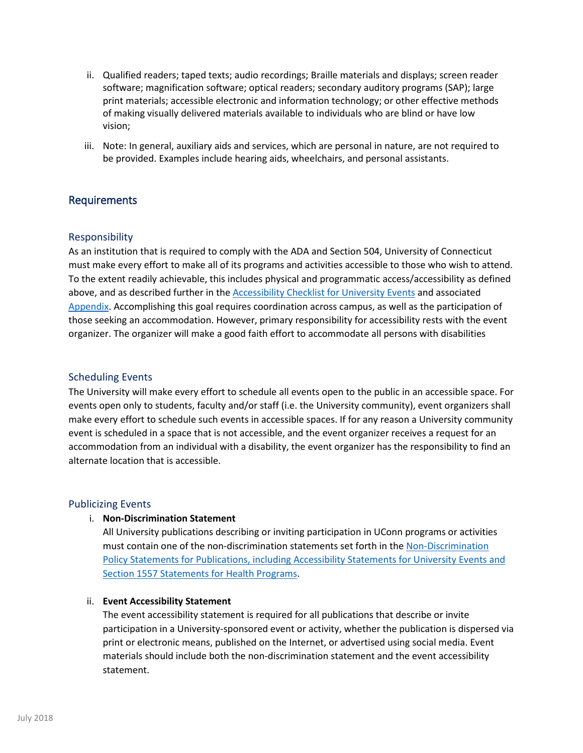- ii. Qualified readers; taped texts; audio recordings; Braille materials and displays; screen reader software; magnification software; optical readers; secondary auditory programs (SAP); large print materials; accessible electronic and information technology; or other effective methods of making visually delivered materials available to individuals who are blind or have low vision;
- iii. Note: In general, auxiliary aids and services, which are personal in nature, are not required to be provided. Examples include hearing aids, wheelchairs, and personal assistants.

# Requirements

# Responsibility

As an institution that is required to comply with the ADA and Section 504, University of Connecticut must make every effort to make all of its programs and activities accessible to those who wish to attend. To the extent readily achievable, this includes physical and programmatic access/accessibility as defined above, and as described further in th[e Accessibility Checklist for University Events](http://csd.uconn.edu/accessibility-checklist-for-events/) and associated [Appendix.](https://csd.uconn.edu/wp-content/uploads/sites/607/2015/01/ACCESSIBILITY-CHECKLIST-FOR-UNIVERSITY-EVENTS-Fall-2014-Appendix.pdf) Accomplishing this goal requires coordination across campus, as well as the participation of those seeking an accommodation. However, primary responsibility for accessibility rests with the event organizer. The organizer will make a good faith effort to accommodate all persons with disabilities

#### Scheduling Events

The University will make every effort to schedule all events open to the public in an accessible space. For events open only to students, faculty and/or staff (i.e. the University community), event organizers shall make every effort to schedule such events in accessible spaces. If for any reason a University community event is scheduled in a space that is not accessible, and the event organizer receives a request for an accommodation from an individual with a disability, the event organizer has the responsibility to find an alternate location that is accessible.

#### Publicizing Events

#### i. **Non-Discrimination Statement**

All University publications describing or inviting participation in UConn programs or activities must contain one of the non-discrimination statements set forth in th[e Non-Discrimination](http://policy.uconn.edu/2011/05/31/non-discrimination-policy-statements/)  [Policy Statements for Publications, including Accessibility Statements for University Events and](http://policy.uconn.edu/2011/05/31/non-discrimination-policy-statements/)  [Section 1557 Statements for Health Programs.](http://policy.uconn.edu/2011/05/31/non-discrimination-policy-statements/)

#### ii. **Event Accessibility Statement**

The event accessibility statement is required for all publications that describe or invite participation in a University-sponsored event or activity, whether the publication is dispersed via print or electronic means, published on the Internet, or advertised using social media. Event materials should include both the non-discrimination statement and the event accessibility statement.